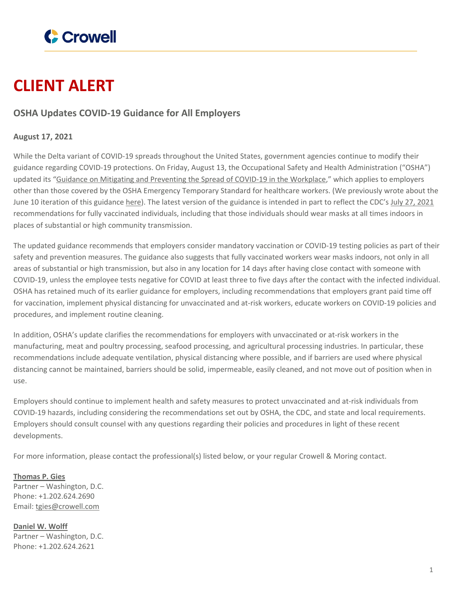

## **CLIENT ALERT**

## **OSHA Updates COVID-19 Guidance for All Employers**

## **August 17, 2021**

While the Delta variant of COVID-19 spreads throughout the United States, government agencies continue to modify their guidance regarding COVID-19 protections. On Friday, August 13, the Occupational Safety and Health Administration ("OSHA") updated its "Guidance on Mitigating and [Preventing](https://www.osha.gov/coronavirus/safework) the Spread of COVID-19 in the Workplace," which applies to employers other than those covered by the OSHA Emergency Temporary Standard for healthcare workers. (We previously wrote about the June 10 iteration of this guidance [here\)](https://www.crowell.com/NewsEvents/AlertsNewsletters/Labor-Employment-Law-Alert-US/OSHA-Releases-Highly-Anticipated-Safety-Rule-for-Healthcare-Employers-and-Updated-Guidance-for-All-Employers). The latest version of the guidance is intended in part to reflect the CDC's July 27, [2021](https://www.cdc.gov/coronavirus/2019-ncov/vaccines/fully-vaccinated-guidance.html) recommendations for fully vaccinated individuals, including that those individuals should wear masks at all times indoors in places of substantial or high community transmission.

The updated guidance recommends that employers consider mandatory vaccination or COVID-19 testing policies as part of their safety and prevention measures. The guidance also suggests that fully vaccinated workers wear masks indoors, not only in all areas of substantial or high transmission, but also in any location for 14 days after having close contact with someone with COVID-19, unless the employee tests negative for COVID at least three to five days after the contact with the infected individual. OSHA has retained much of its earlier guidance for employers, including recommendations that employers grant paid time off for vaccination, implement physical distancing for unvaccinated and at-risk workers, educate workers on COVID-19 policies and procedures, and implement routine cleaning.

In addition, OSHA's update clarifies the recommendations for employers with unvaccinated or at-risk workers in the manufacturing, meat and poultry processing, seafood processing, and agricultural processing industries. In particular, these recommendations include adequate ventilation, physical distancing where possible, and if barriers are used where physical distancing cannot be maintained, barriers should be solid, impermeable, easily cleaned, and not move out of position when in use.

Employers should continue to implement health and safety measures to protect unvaccinated and at-risk individuals from COVID-19 hazards, including considering the recommendations set out by OSHA, the CDC, and state and local requirements. Employers should consult counsel with any questions regarding their policies and procedures in light of these recent developments.

For more information, please contact the professional(s) listed below, or your regular Crowell & Moring contact.

**[Thomas](https://www.crowell.com/professionals/Thomas-Gies) P. Gies** Partner – Washington, D.C. Phone: +1.202.624.2690 Email: [tgies@crowell.com](mailto:tgies@crowell.com)

**[Daniel](https://www.crowell.com/professionals/Daniel-Wolff) W. Wolff** Partner – Washington, D.C. Phone: +1.202.624.2621